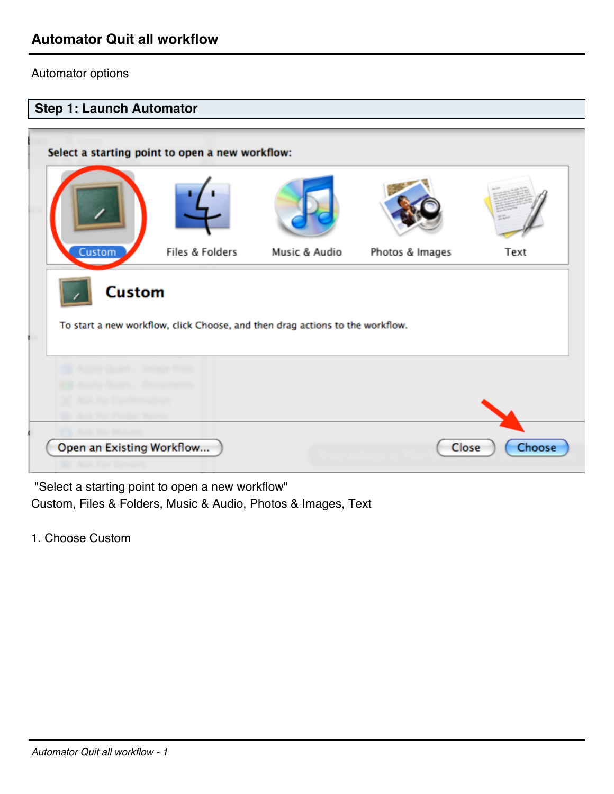## Automator options



 "Select a starting point to open a new workflow" Custom, Files & Folders, Music & Audio, Photos & Images, Text

1. Choose Custom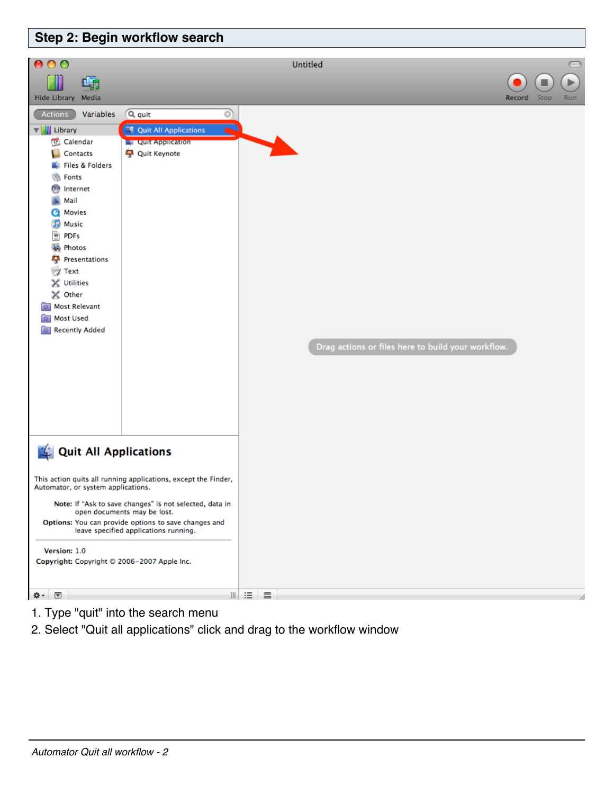

- 1. Type "quit" into the search menu
- 2. Select "Quit all applications" click and drag to the workflow window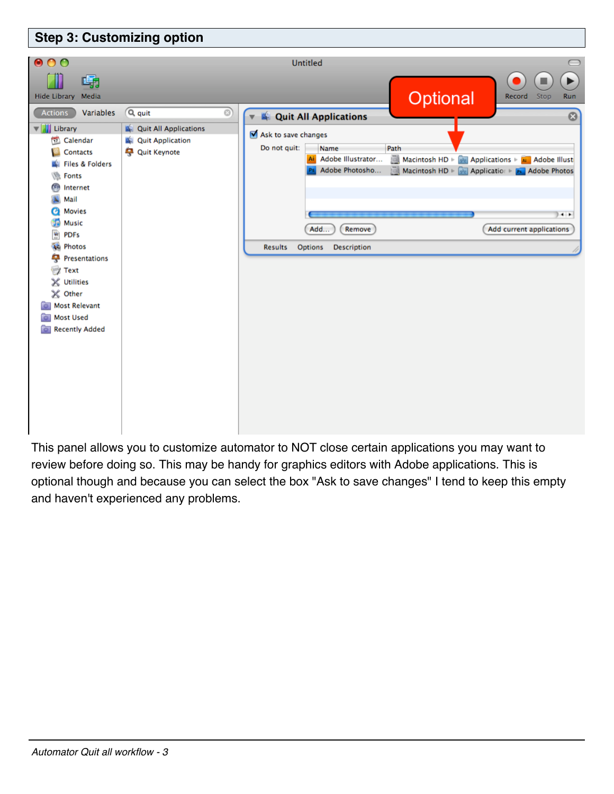

This panel allows you to customize automator to NOT close certain applications you may want to review before doing so. This may be handy for graphics editors with Adobe applications. This is optional though and because you can select the box "Ask to save changes" I tend to keep this empty and haven't experienced any problems.